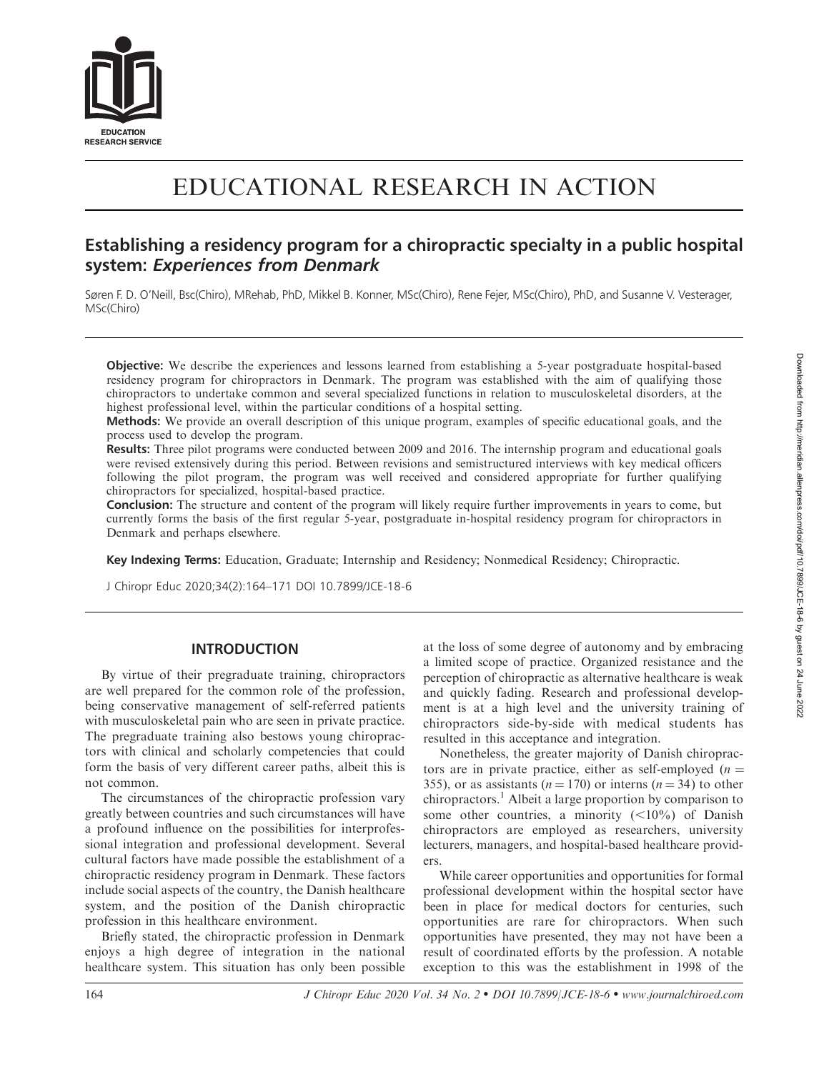

# EDUCATIONAL RESEARCH IN ACTION

# Establishing a residency program for a chiropractic specialty in a public hospital system: Experiences from Denmark

Søren F. D. O'Neill, Bsc(Chiro), MRehab, PhD, Mikkel B. Konner, MSc(Chiro), Rene Fejer, MSc(Chiro), PhD, and Susanne V. Vesterager, MSc(Chiro)

Objective: We describe the experiences and lessons learned from establishing a 5-year postgraduate hospital-based residency program for chiropractors in Denmark. The program was established with the aim of qualifying those chiropractors to undertake common and several specialized functions in relation to musculoskeletal disorders, at the highest professional level, within the particular conditions of a hospital setting.

Methods: We provide an overall description of this unique program, examples of specific educational goals, and the process used to develop the program.

Results: Three pilot programs were conducted between 2009 and 2016. The internship program and educational goals were revised extensively during this period. Between revisions and semistructured interviews with key medical officers following the pilot program, the program was well received and considered appropriate for further qualifying chiropractors for specialized, hospital-based practice.

Conclusion: The structure and content of the program will likely require further improvements in years to come, but currently forms the basis of the first regular 5-year, postgraduate in-hospital residency program for chiropractors in Denmark and perhaps elsewhere.

Key Indexing Terms: Education, Graduate; Internship and Residency; Nonmedical Residency; Chiropractic.

J Chiropr Educ 2020;34(2):164–171 DOI 10.7899/JCE-18-6

#### INTRODUCTION

By virtue of their pregraduate training, chiropractors are well prepared for the common role of the profession, being conservative management of self-referred patients with musculoskeletal pain who are seen in private practice. The pregraduate training also bestows young chiropractors with clinical and scholarly competencies that could form the basis of very different career paths, albeit this is not common.

The circumstances of the chiropractic profession vary greatly between countries and such circumstances will have a profound influence on the possibilities for interprofessional integration and professional development. Several cultural factors have made possible the establishment of a chiropractic residency program in Denmark. These factors include social aspects of the country, the Danish healthcare system, and the position of the Danish chiropractic profession in this healthcare environment.

Briefly stated, the chiropractic profession in Denmark enjoys a high degree of integration in the national healthcare system. This situation has only been possible at the loss of some degree of autonomy and by embracing a limited scope of practice. Organized resistance and the perception of chiropractic as alternative healthcare is weak and quickly fading. Research and professional development is at a high level and the university training of chiropractors side-by-side with medical students has resulted in this acceptance and integration.

Nonetheless, the greater majority of Danish chiropractors are in private practice, either as self-employed ( $n =$ 355), or as assistants ( $n = 170$ ) or interns ( $n = 34$ ) to other chiropractors.<sup>1</sup> Albeit a large proportion by comparison to some other countries, a minority  $(<10\%)$  of Danish chiropractors are employed as researchers, university lecturers, managers, and hospital-based healthcare providers.

While career opportunities and opportunities for formal professional development within the hospital sector have been in place for medical doctors for centuries, such opportunities are rare for chiropractors. When such opportunities have presented, they may not have been a result of coordinated efforts by the profession. A notable exception to this was the establishment in 1998 of the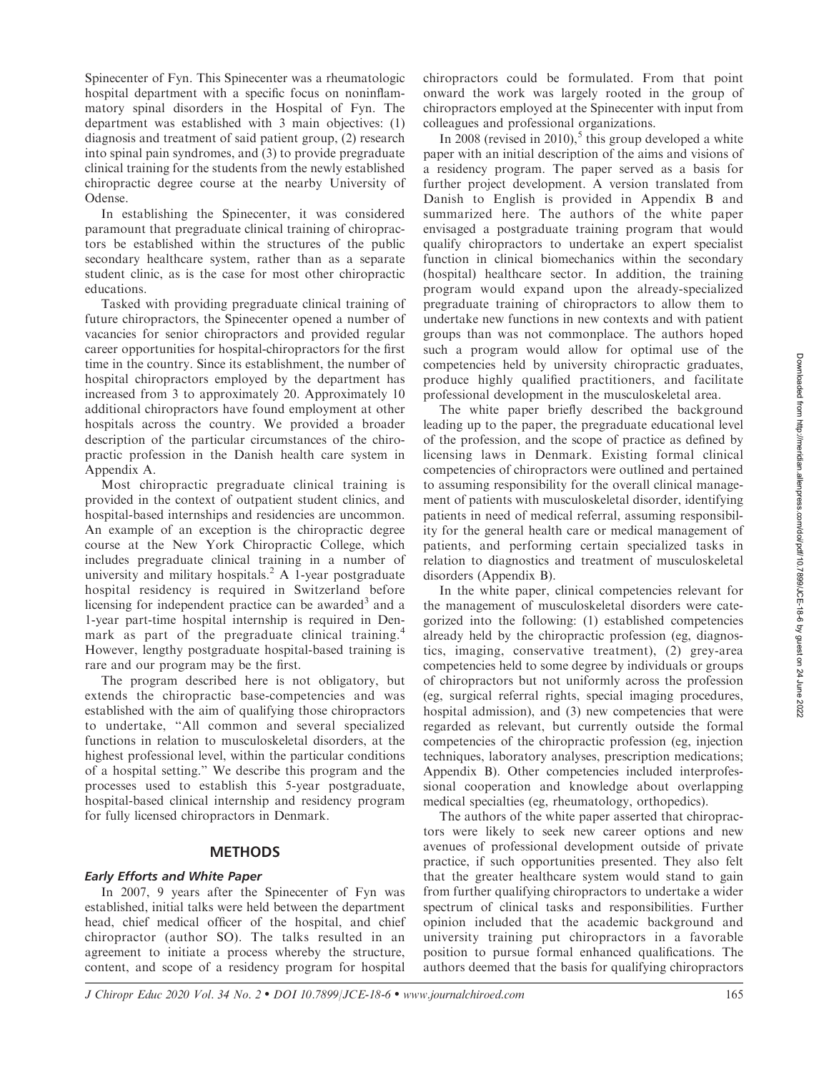Spinecenter of Fyn. This Spinecenter was a rheumatologic hospital department with a specific focus on noninflammatory spinal disorders in the Hospital of Fyn. The department was established with 3 main objectives: (1) diagnosis and treatment of said patient group, (2) research into spinal pain syndromes, and (3) to provide pregraduate clinical training for the students from the newly established chiropractic degree course at the nearby University of Odense.

In establishing the Spinecenter, it was considered paramount that pregraduate clinical training of chiropractors be established within the structures of the public secondary healthcare system, rather than as a separate student clinic, as is the case for most other chiropractic educations.

Tasked with providing pregraduate clinical training of future chiropractors, the Spinecenter opened a number of vacancies for senior chiropractors and provided regular career opportunities for hospital-chiropractors for the first time in the country. Since its establishment, the number of hospital chiropractors employed by the department has increased from 3 to approximately 20. Approximately 10 additional chiropractors have found employment at other hospitals across the country. We provided a broader description of the particular circumstances of the chiropractic profession in the Danish health care system in Appendix A.

Most chiropractic pregraduate clinical training is provided in the context of outpatient student clinics, and hospital-based internships and residencies are uncommon. An example of an exception is the chiropractic degree course at the New York Chiropractic College, which includes pregraduate clinical training in a number of university and military hospitals.<sup>2</sup> A 1-year postgraduate hospital residency is required in Switzerland before licensing for independent practice can be awarded<sup>3</sup> and a 1-year part-time hospital internship is required in Denmark as part of the pregraduate clinical training.<sup>4</sup> However, lengthy postgraduate hospital-based training is rare and our program may be the first.

The program described here is not obligatory, but extends the chiropractic base-competencies and was established with the aim of qualifying those chiropractors to undertake, ''All common and several specialized functions in relation to musculoskeletal disorders, at the highest professional level, within the particular conditions of a hospital setting.'' We describe this program and the processes used to establish this 5-year postgraduate, hospital-based clinical internship and residency program for fully licensed chiropractors in Denmark.

#### METHODS

#### Early Efforts and White Paper

In 2007, 9 years after the Spinecenter of Fyn was established, initial talks were held between the department head, chief medical officer of the hospital, and chief chiropractor (author SO). The talks resulted in an agreement to initiate a process whereby the structure, content, and scope of a residency program for hospital chiropractors could be formulated. From that point onward the work was largely rooted in the group of chiropractors employed at the Spinecenter with input from colleagues and professional organizations.

In 2008 (revised in 2010), $\delta$  this group developed a white paper with an initial description of the aims and visions of a residency program. The paper served as a basis for further project development. A version translated from Danish to English is provided in Appendix B and summarized here. The authors of the white paper envisaged a postgraduate training program that would qualify chiropractors to undertake an expert specialist function in clinical biomechanics within the secondary (hospital) healthcare sector. In addition, the training program would expand upon the already-specialized pregraduate training of chiropractors to allow them to undertake new functions in new contexts and with patient groups than was not commonplace. The authors hoped such a program would allow for optimal use of the competencies held by university chiropractic graduates, produce highly qualified practitioners, and facilitate professional development in the musculoskeletal area.

The white paper briefly described the background leading up to the paper, the pregraduate educational level of the profession, and the scope of practice as defined by licensing laws in Denmark. Existing formal clinical competencies of chiropractors were outlined and pertained to assuming responsibility for the overall clinical management of patients with musculoskeletal disorder, identifying patients in need of medical referral, assuming responsibility for the general health care or medical management of patients, and performing certain specialized tasks in relation to diagnostics and treatment of musculoskeletal disorders (Appendix B).

In the white paper, clinical competencies relevant for the management of musculoskeletal disorders were categorized into the following: (1) established competencies already held by the chiropractic profession (eg, diagnostics, imaging, conservative treatment), (2) grey-area competencies held to some degree by individuals or groups of chiropractors but not uniformly across the profession (eg, surgical referral rights, special imaging procedures, hospital admission), and (3) new competencies that were regarded as relevant, but currently outside the formal competencies of the chiropractic profession (eg, injection techniques, laboratory analyses, prescription medications; Appendix B). Other competencies included interprofessional cooperation and knowledge about overlapping medical specialties (eg, rheumatology, orthopedics).

The authors of the white paper asserted that chiropractors were likely to seek new career options and new avenues of professional development outside of private practice, if such opportunities presented. They also felt that the greater healthcare system would stand to gain from further qualifying chiropractors to undertake a wider spectrum of clinical tasks and responsibilities. Further opinion included that the academic background and university training put chiropractors in a favorable position to pursue formal enhanced qualifications. The authors deemed that the basis for qualifying chiropractors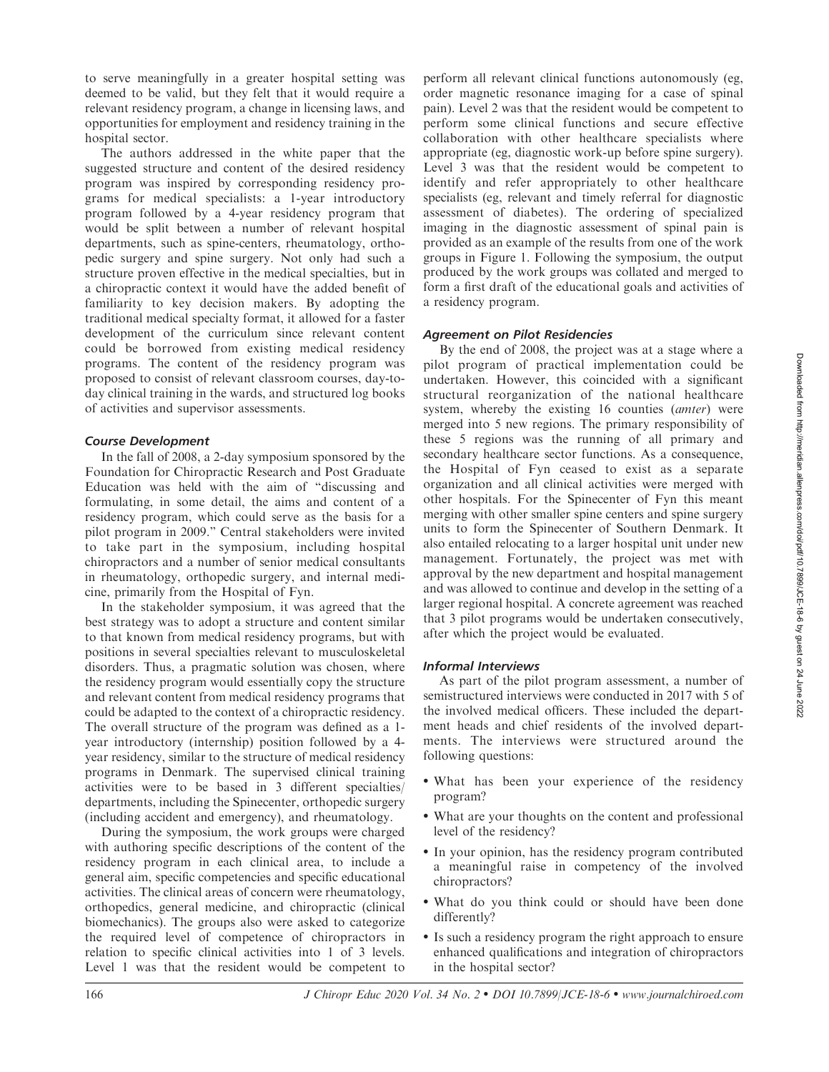to serve meaningfully in a greater hospital setting was deemed to be valid, but they felt that it would require a relevant residency program, a change in licensing laws, and opportunities for employment and residency training in the hospital sector.

The authors addressed in the white paper that the suggested structure and content of the desired residency program was inspired by corresponding residency programs for medical specialists: a 1-year introductory program followed by a 4-year residency program that would be split between a number of relevant hospital departments, such as spine-centers, rheumatology, orthopedic surgery and spine surgery. Not only had such a structure proven effective in the medical specialties, but in a chiropractic context it would have the added benefit of familiarity to key decision makers. By adopting the traditional medical specialty format, it allowed for a faster development of the curriculum since relevant content could be borrowed from existing medical residency programs. The content of the residency program was proposed to consist of relevant classroom courses, day-today clinical training in the wards, and structured log books of activities and supervisor assessments.

#### Course Development

In the fall of 2008, a 2-day symposium sponsored by the Foundation for Chiropractic Research and Post Graduate Education was held with the aim of ''discussing and formulating, in some detail, the aims and content of a residency program, which could serve as the basis for a pilot program in 2009.'' Central stakeholders were invited to take part in the symposium, including hospital chiropractors and a number of senior medical consultants in rheumatology, orthopedic surgery, and internal medicine, primarily from the Hospital of Fyn.

In the stakeholder symposium, it was agreed that the best strategy was to adopt a structure and content similar to that known from medical residency programs, but with positions in several specialties relevant to musculoskeletal disorders. Thus, a pragmatic solution was chosen, where the residency program would essentially copy the structure and relevant content from medical residency programs that could be adapted to the context of a chiropractic residency. The overall structure of the program was defined as a 1 year introductory (internship) position followed by a 4 year residency, similar to the structure of medical residency programs in Denmark. The supervised clinical training activities were to be based in 3 different specialties/ departments, including the Spinecenter, orthopedic surgery (including accident and emergency), and rheumatology.

During the symposium, the work groups were charged with authoring specific descriptions of the content of the residency program in each clinical area, to include a general aim, specific competencies and specific educational activities. The clinical areas of concern were rheumatology, orthopedics, general medicine, and chiropractic (clinical biomechanics). The groups also were asked to categorize the required level of competence of chiropractors in relation to specific clinical activities into 1 of 3 levels. Level 1 was that the resident would be competent to perform all relevant clinical functions autonomously (eg, order magnetic resonance imaging for a case of spinal pain). Level 2 was that the resident would be competent to perform some clinical functions and secure effective collaboration with other healthcare specialists where appropriate (eg, diagnostic work-up before spine surgery). Level 3 was that the resident would be competent to identify and refer appropriately to other healthcare specialists (eg, relevant and timely referral for diagnostic assessment of diabetes). The ordering of specialized imaging in the diagnostic assessment of spinal pain is provided as an example of the results from one of the work groups in Figure 1. Following the symposium, the output produced by the work groups was collated and merged to form a first draft of the educational goals and activities of a residency program.

## Agreement on Pilot Residencies

By the end of 2008, the project was at a stage where a pilot program of practical implementation could be undertaken. However, this coincided with a significant structural reorganization of the national healthcare system, whereby the existing 16 counties (amter) were merged into 5 new regions. The primary responsibility of these 5 regions was the running of all primary and secondary healthcare sector functions. As a consequence, the Hospital of Fyn ceased to exist as a separate organization and all clinical activities were merged with other hospitals. For the Spinecenter of Fyn this meant merging with other smaller spine centers and spine surgery units to form the Spinecenter of Southern Denmark. It also entailed relocating to a larger hospital unit under new management. Fortunately, the project was met with approval by the new department and hospital management and was allowed to continue and develop in the setting of a larger regional hospital. A concrete agreement was reached that 3 pilot programs would be undertaken consecutively, after which the project would be evaluated.

## Informal Interviews

As part of the pilot program assessment, a number of semistructured interviews were conducted in 2017 with 5 of the involved medical officers. These included the department heads and chief residents of the involved departments. The interviews were structured around the following questions:

- What has been your experience of the residency program?
- What are your thoughts on the content and professional level of the residency?
- In your opinion, has the residency program contributed a meaningful raise in competency of the involved chiropractors?
- What do you think could or should have been done differently?
- Is such a residency program the right approach to ensure enhanced qualifications and integration of chiropractors in the hospital sector?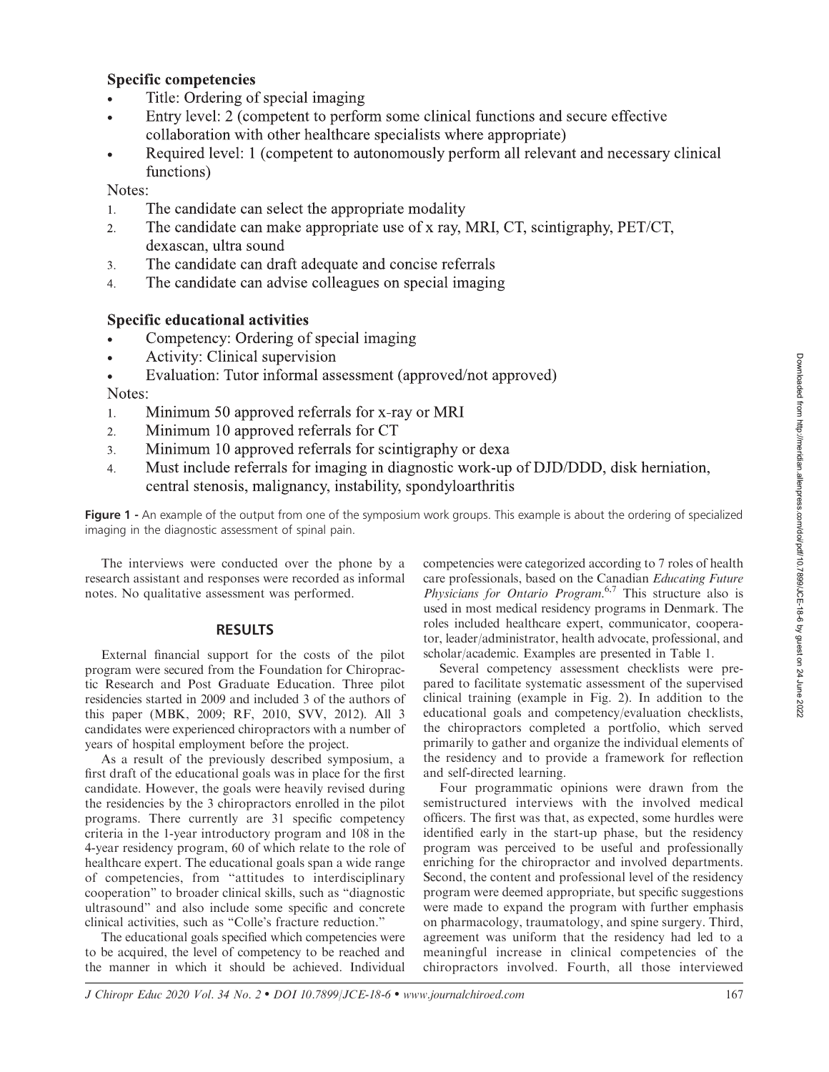## **Specific competencies**

- Title: Ordering of special imaging
- Entry level: 2 (competent to perform some clinical functions and secure effective collaboration with other healthcare specialists where appropriate)
- Required level: 1 (competent to autonomously perform all relevant and necessary clinical functions)

Notes:

- The candidate can select the appropriate modality  $1.$
- The candidate can make appropriate use of x ray, MRI, CT, scintigraphy, PET/CT,  $\overline{2}$ . dexascan, ultra sound
- The candidate can draft adequate and concise referrals  $\overline{3}$ .
- The candidate can advise colleagues on special imaging  $\overline{4}$ .

## **Specific educational activities**

- Competency: Ordering of special imaging
- Activity: Clinical supervision  $\bullet$

Evaluation: Tutor informal assessment (approved/not approved) Notes:

- Minimum 50 approved referrals for x-ray or MRI  $1.$
- Minimum 10 approved referrals for CT  $2.$
- Minimum 10 approved referrals for scintigraphy or dexa  $\overline{3}$ .
- Must include referrals for imaging in diagnostic work-up of DJD/DDD, disk herniation,  $\overline{4}$ . central stenosis, malignancy, instability, spondyloarthritis

Figure 1 - An example of the output from one of the symposium work groups. This example is about the ordering of specialized imaging in the diagnostic assessment of spinal pain.

The interviews were conducted over the phone by a research assistant and responses were recorded as informal notes. No qualitative assessment was performed.

#### **RESULTS**

External financial support for the costs of the pilot program were secured from the Foundation for Chiropractic Research and Post Graduate Education. Three pilot residencies started in 2009 and included 3 of the authors of this paper (MBK, 2009; RF, 2010, SVV, 2012). All 3 candidates were experienced chiropractors with a number of years of hospital employment before the project.

As a result of the previously described symposium, a first draft of the educational goals was in place for the first candidate. However, the goals were heavily revised during the residencies by the 3 chiropractors enrolled in the pilot programs. There currently are 31 specific competency criteria in the 1-year introductory program and 108 in the 4-year residency program, 60 of which relate to the role of healthcare expert. The educational goals span a wide range of competencies, from ''attitudes to interdisciplinary cooperation'' to broader clinical skills, such as ''diagnostic ultrasound'' and also include some specific and concrete clinical activities, such as ''Colle's fracture reduction.''

The educational goals specified which competencies were to be acquired, the level of competency to be reached and the manner in which it should be achieved. Individual competencies were categorized according to 7 roles of health care professionals, based on the Canadian Educating Future Physicians for Ontario Program.<sup>6,7</sup> This structure also is used in most medical residency programs in Denmark. The roles included healthcare expert, communicator, cooperator, leader/administrator, health advocate, professional, and scholar/academic. Examples are presented in Table 1.

Several competency assessment checklists were prepared to facilitate systematic assessment of the supervised clinical training (example in Fig. 2). In addition to the educational goals and competency/evaluation checklists, the chiropractors completed a portfolio, which served primarily to gather and organize the individual elements of the residency and to provide a framework for reflection and self-directed learning.

Four programmatic opinions were drawn from the semistructured interviews with the involved medical officers. The first was that, as expected, some hurdles were identified early in the start-up phase, but the residency program was perceived to be useful and professionally enriching for the chiropractor and involved departments. Second, the content and professional level of the residency program were deemed appropriate, but specific suggestions were made to expand the program with further emphasis on pharmacology, traumatology, and spine surgery. Third, agreement was uniform that the residency had led to a meaningful increase in clinical competencies of the chiropractors involved. Fourth, all those interviewed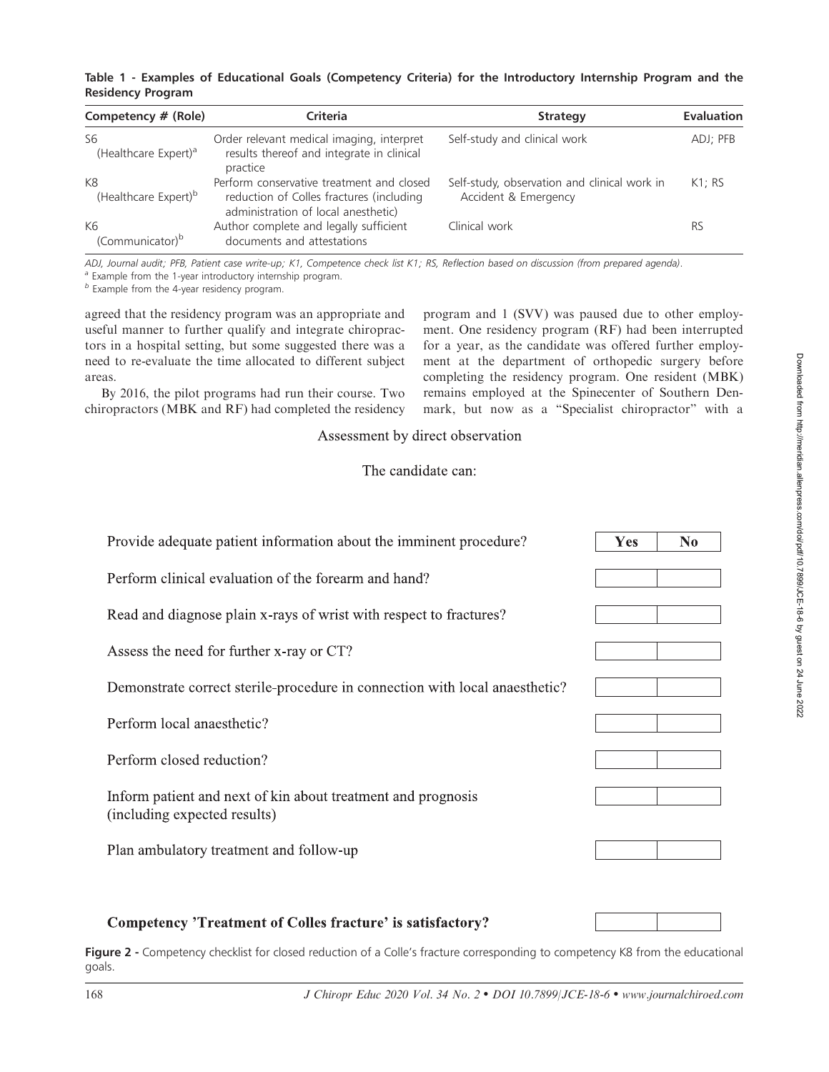|                          | Table 1 - Examples of Educational Goals (Competency Criteria) for the Introductory Internship Program and the |  |  |  |  |  |
|--------------------------|---------------------------------------------------------------------------------------------------------------|--|--|--|--|--|
| <b>Residency Program</b> |                                                                                                               |  |  |  |  |  |

| Competency # (Role)                    | Criteria                                                                                                                     | <b>Strategy</b>                                                      | <b>Evaluation</b> |
|----------------------------------------|------------------------------------------------------------------------------------------------------------------------------|----------------------------------------------------------------------|-------------------|
| S6<br>(Healthcare Expert) <sup>a</sup> | Order relevant medical imaging, interpret<br>results thereof and integrate in clinical<br>practice                           | Self-study and clinical work                                         | ADJ; PFB          |
| K8<br>(Healthcare Expert) <sup>b</sup> | Perform conservative treatment and closed<br>reduction of Colles fractures (including<br>administration of local anesthetic) | Self-study, observation and clinical work in<br>Accident & Emergency | K1:RS             |
| K6<br>(Communicator) <sup>b</sup>      | Author complete and legally sufficient<br>documents and attestations                                                         | Clinical work                                                        | <b>RS</b>         |

ADJ, Journal audit; PFB, Patient case write-up; K1, Competence check list K1; RS, Reflection based on discussion (from prepared agenda).

<sup>a</sup> Example from the 1-year introductory internship program.

 $<sup>b</sup>$  Example from the 4-year residency program.</sup>

agreed that the residency program was an appropriate and useful manner to further qualify and integrate chiropractors in a hospital setting, but some suggested there was a need to re-evaluate the time allocated to different subject areas.

By 2016, the pilot programs had run their course. Two chiropractors (MBK and RF) had completed the residency program and 1 (SVV) was paused due to other employment. One residency program (RF) had been interrupted for a year, as the candidate was offered further employment at the department of orthopedic surgery before completing the residency program. One resident (MBK) remains employed at the Spinecenter of Southern Denmark, but now as a ''Specialist chiropractor'' with a

Assessment by direct observation

## The candidate can:

| Provide adequate patient information about the imminent procedure?                           | <b>Yes</b> | N <sub>0</sub> |
|----------------------------------------------------------------------------------------------|------------|----------------|
| Perform clinical evaluation of the forearm and hand?                                         |            |                |
| Read and diagnose plain x-rays of wrist with respect to fractures?                           |            |                |
| Assess the need for further x-ray or CT?                                                     |            |                |
| Demonstrate correct sterile-procedure in connection with local anaesthetic?                  |            |                |
| Perform local anaesthetic?                                                                   |            |                |
| Perform closed reduction?                                                                    |            |                |
| Inform patient and next of kin about treatment and prognosis<br>(including expected results) |            |                |
| Plan ambulatory treatment and follow-up                                                      |            |                |
|                                                                                              |            |                |

## **Competency 'Treatment of Colles fracture' is satisfactory?**

Figure 2 - Competency checklist for closed reduction of a Colle's fracture corresponding to competency K8 from the educational goals.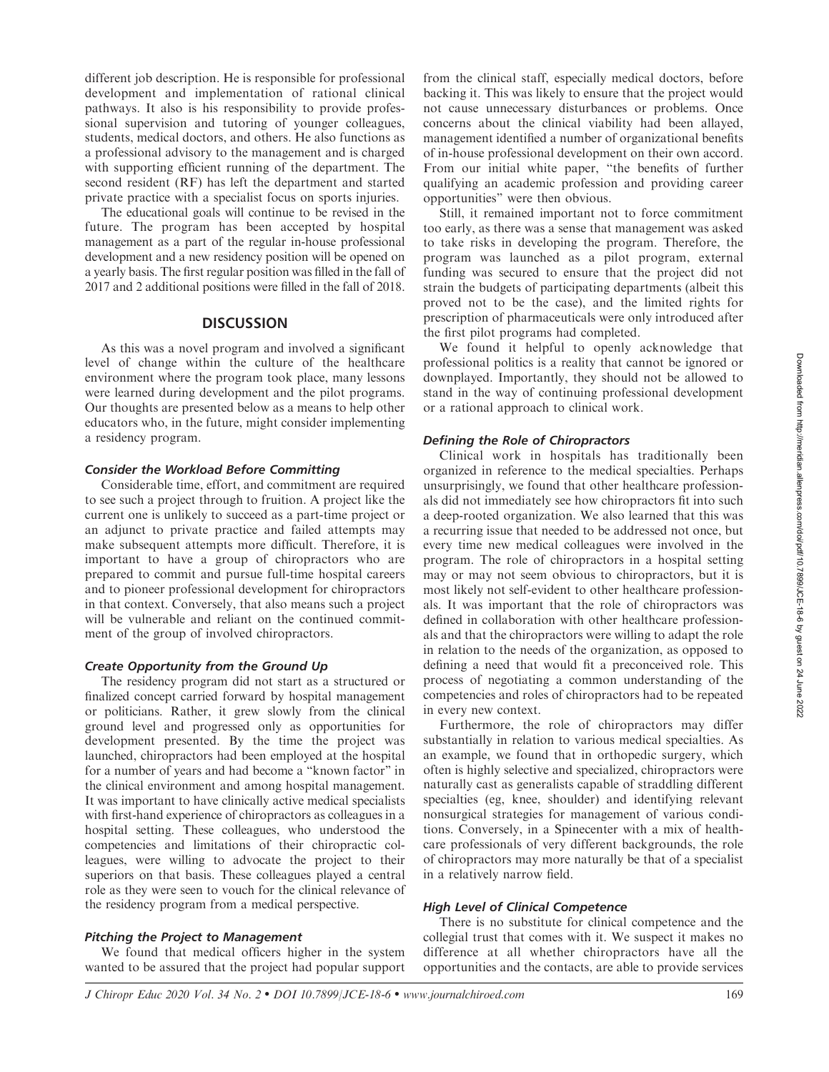different job description. He is responsible for professional development and implementation of rational clinical pathways. It also is his responsibility to provide professional supervision and tutoring of younger colleagues, students, medical doctors, and others. He also functions as a professional advisory to the management and is charged with supporting efficient running of the department. The second resident (RF) has left the department and started private practice with a specialist focus on sports injuries.

The educational goals will continue to be revised in the future. The program has been accepted by hospital management as a part of the regular in-house professional development and a new residency position will be opened on a yearly basis. The first regular position was filled in the fall of 2017 and 2 additional positions were filled in the fall of 2018.

#### **DISCUSSION**

As this was a novel program and involved a significant level of change within the culture of the healthcare environment where the program took place, many lessons were learned during development and the pilot programs. Our thoughts are presented below as a means to help other educators who, in the future, might consider implementing a residency program.

#### Consider the Workload Before Committing

Considerable time, effort, and commitment are required to see such a project through to fruition. A project like the current one is unlikely to succeed as a part-time project or an adjunct to private practice and failed attempts may make subsequent attempts more difficult. Therefore, it is important to have a group of chiropractors who are prepared to commit and pursue full-time hospital careers and to pioneer professional development for chiropractors in that context. Conversely, that also means such a project will be vulnerable and reliant on the continued commitment of the group of involved chiropractors.

#### Create Opportunity from the Ground Up

The residency program did not start as a structured or finalized concept carried forward by hospital management or politicians. Rather, it grew slowly from the clinical ground level and progressed only as opportunities for development presented. By the time the project was launched, chiropractors had been employed at the hospital for a number of years and had become a ''known factor'' in the clinical environment and among hospital management. It was important to have clinically active medical specialists with first-hand experience of chiropractors as colleagues in a hospital setting. These colleagues, who understood the competencies and limitations of their chiropractic colleagues, were willing to advocate the project to their superiors on that basis. These colleagues played a central role as they were seen to vouch for the clinical relevance of the residency program from a medical perspective.

#### Pitching the Project to Management

We found that medical officers higher in the system wanted to be assured that the project had popular support

from the clinical staff, especially medical doctors, before backing it. This was likely to ensure that the project would not cause unnecessary disturbances or problems. Once concerns about the clinical viability had been allayed, management identified a number of organizational benefits of in-house professional development on their own accord. From our initial white paper, ''the benefits of further qualifying an academic profession and providing career opportunities'' were then obvious.

Still, it remained important not to force commitment too early, as there was a sense that management was asked to take risks in developing the program. Therefore, the program was launched as a pilot program, external funding was secured to ensure that the project did not strain the budgets of participating departments (albeit this proved not to be the case), and the limited rights for prescription of pharmaceuticals were only introduced after the first pilot programs had completed.

We found it helpful to openly acknowledge that professional politics is a reality that cannot be ignored or downplayed. Importantly, they should not be allowed to stand in the way of continuing professional development or a rational approach to clinical work.

#### Defining the Role of Chiropractors

Clinical work in hospitals has traditionally been organized in reference to the medical specialties. Perhaps unsurprisingly, we found that other healthcare professionals did not immediately see how chiropractors fit into such a deep-rooted organization. We also learned that this was a recurring issue that needed to be addressed not once, but every time new medical colleagues were involved in the program. The role of chiropractors in a hospital setting may or may not seem obvious to chiropractors, but it is most likely not self-evident to other healthcare professionals. It was important that the role of chiropractors was defined in collaboration with other healthcare professionals and that the chiropractors were willing to adapt the role in relation to the needs of the organization, as opposed to defining a need that would fit a preconceived role. This process of negotiating a common understanding of the competencies and roles of chiropractors had to be repeated in every new context.

Furthermore, the role of chiropractors may differ substantially in relation to various medical specialties. As an example, we found that in orthopedic surgery, which often is highly selective and specialized, chiropractors were naturally cast as generalists capable of straddling different specialties (eg, knee, shoulder) and identifying relevant nonsurgical strategies for management of various conditions. Conversely, in a Spinecenter with a mix of healthcare professionals of very different backgrounds, the role of chiropractors may more naturally be that of a specialist in a relatively narrow field.

#### High Level of Clinical Competence

There is no substitute for clinical competence and the collegial trust that comes with it. We suspect it makes no difference at all whether chiropractors have all the opportunities and the contacts, are able to provide services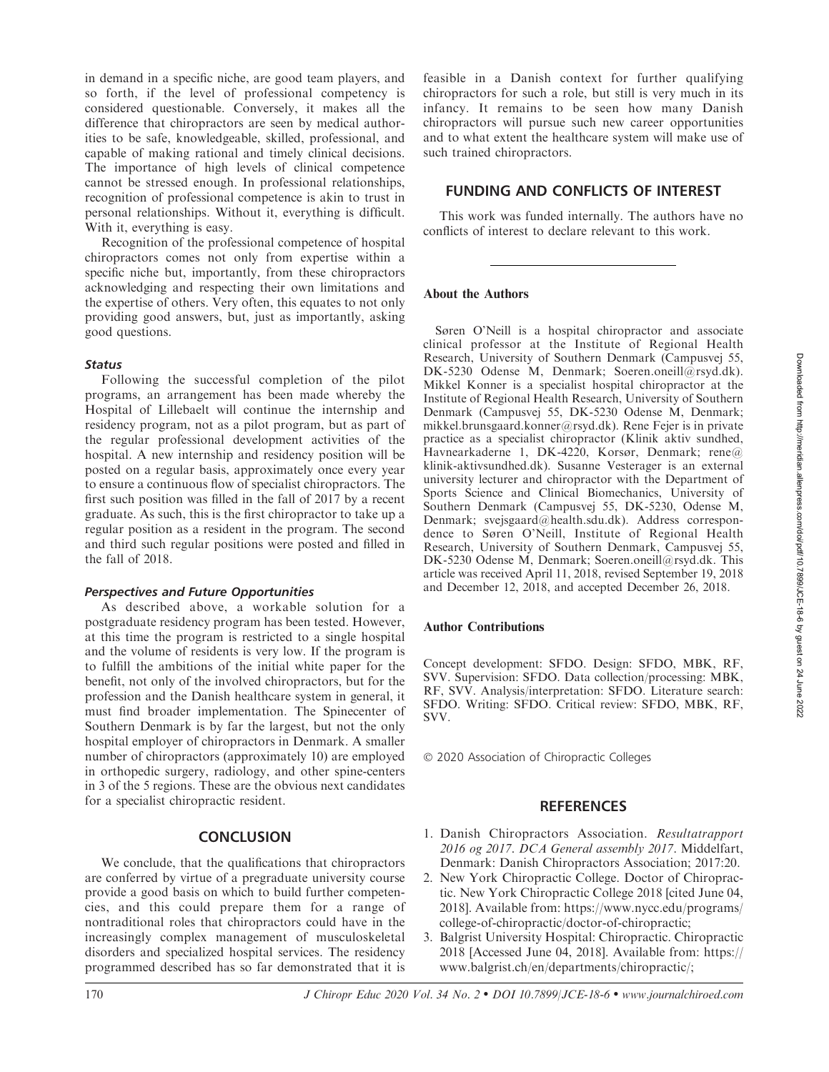in demand in a specific niche, are good team players, and so forth, if the level of professional competency is considered questionable. Conversely, it makes all the difference that chiropractors are seen by medical authorities to be safe, knowledgeable, skilled, professional, and capable of making rational and timely clinical decisions. The importance of high levels of clinical competence cannot be stressed enough. In professional relationships, recognition of professional competence is akin to trust in personal relationships. Without it, everything is difficult. With it, everything is easy.

Recognition of the professional competence of hospital chiropractors comes not only from expertise within a specific niche but, importantly, from these chiropractors acknowledging and respecting their own limitations and the expertise of others. Very often, this equates to not only providing good answers, but, just as importantly, asking good questions.

#### **Status**

Following the successful completion of the pilot programs, an arrangement has been made whereby the Hospital of Lillebaelt will continue the internship and residency program, not as a pilot program, but as part of the regular professional development activities of the hospital. A new internship and residency position will be posted on a regular basis, approximately once every year to ensure a continuous flow of specialist chiropractors. The first such position was filled in the fall of 2017 by a recent graduate. As such, this is the first chiropractor to take up a regular position as a resident in the program. The second and third such regular positions were posted and filled in the fall of 2018.

## Perspectives and Future Opportunities

As described above, a workable solution for a postgraduate residency program has been tested. However, at this time the program is restricted to a single hospital and the volume of residents is very low. If the program is to fulfill the ambitions of the initial white paper for the benefit, not only of the involved chiropractors, but for the profession and the Danish healthcare system in general, it must find broader implementation. The Spinecenter of Southern Denmark is by far the largest, but not the only hospital employer of chiropractors in Denmark. A smaller number of chiropractors (approximately 10) are employed in orthopedic surgery, radiology, and other spine-centers in 3 of the 5 regions. These are the obvious next candidates for a specialist chiropractic resident.

## **CONCLUSION**

We conclude, that the qualifications that chiropractors are conferred by virtue of a pregraduate university course provide a good basis on which to build further competencies, and this could prepare them for a range of nontraditional roles that chiropractors could have in the increasingly complex management of musculoskeletal disorders and specialized hospital services. The residency programmed described has so far demonstrated that it is feasible in a Danish context for further qualifying chiropractors for such a role, but still is very much in its infancy. It remains to be seen how many Danish chiropractors will pursue such new career opportunities and to what extent the healthcare system will make use of such trained chiropractors.

## FUNDING AND CONFLICTS OF INTEREST

This work was funded internally. The authors have no conflicts of interest to declare relevant to this work.

## About the Authors

Søren O'Neill is a hospital chiropractor and associate clinical professor at the Institute of Regional Health Research, University of Southern Denmark (Campusvej 55, DK-5230 Odense M, Denmark; Soeren.oneill@rsyd.dk). Mikkel Konner is a specialist hospital chiropractor at the Institute of Regional Health Research, University of Southern Denmark (Campusvej 55, DK-5230 Odense M, Denmark; mikkel.brunsgaard.konner@rsyd.dk). Rene Fejer is in private practice as a specialist chiropractor (Klinik aktiv sundhed, Havnearkaderne 1, DK-4220, Korsør, Denmark; rene@ klinik-aktivsundhed.dk). Susanne Vesterager is an external university lecturer and chiropractor with the Department of Sports Science and Clinical Biomechanics, University of Southern Denmark (Campusvej 55, DK-5230, Odense M, Denmark; svejsgaard@health.sdu.dk). Address correspondence to Søren O'Neill, Institute of Regional Health Research, University of Southern Denmark, Campusvej 55, DK-5230 Odense M, Denmark; Soeren.oneill@rsyd.dk. This article was received April 11, 2018, revised September 19, 2018 and December 12, 2018, and accepted December 26, 2018.

## Author Contributions

Concept development: SFDO. Design: SFDO, MBK, RF, SVV. Supervision: SFDO. Data collection/processing: MBK, RF, SVV. Analysis/interpretation: SFDO. Literature search: SFDO. Writing: SFDO. Critical review: SFDO, MBK, RF, SVV.

© 2020 Association of Chiropractic Colleges

## **REFERENCES**

- 1. Danish Chiropractors Association. Resultatrapport 2016 og 2017. DCA General assembly 2017. Middelfart, Denmark: Danish Chiropractors Association; 2017:20.
- 2. New York Chiropractic College. Doctor of Chiropractic. New York Chiropractic College 2018 [cited June 04, 2018]. Available from: https://www.nycc.edu/programs/ college-of-chiropractic/doctor-of-chiropractic;
- 3. Balgrist University Hospital: Chiropractic. Chiropractic 2018 [Accessed June 04, 2018]. Available from: https:// www.balgrist.ch/en/departments/chiropractic/;